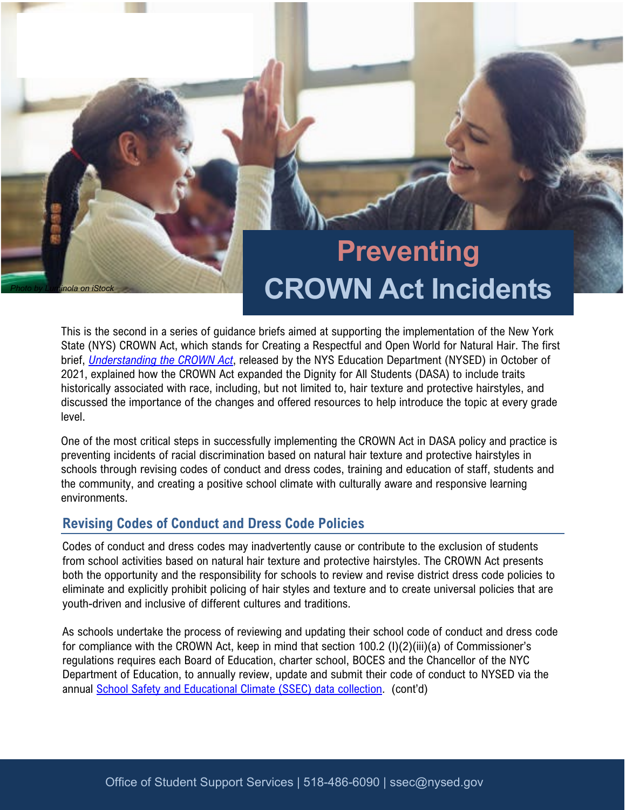# **Preventing CROWN Act Incidents**

This is the second in a series of guidance briefs aimed at supporting the implementation of the New York State (NYS) CROWN Act, which stands for Creating a Respectful and Open World for Natural Hair. The first brief, *[Understanding the CROWN Act](http://www.nysed.gov/news/2021/honor-international-day-girl-state-education-department-issues-guidance-schools-regarding)*, released by the NYS Education Department (NYSED) in October of 2021, explained how the CROWN Act expanded the Dignity for All Students (DASA) to include traits historically associated with race, including, but not limited to, hair texture and protective hairstyles, and discussed the importance of the changes and offered resources to help introduce the topic at every grade level.

One of the most critical steps in successfully implementing the CROWN Act in DASA policy and practice is preventing incidents of racial discrimination based on natural hair texture and protective hairstyles in schools through revising codes of conduct and dress codes, training and education of staff, students and the community, and creating a positive school climate with culturally aware and responsive learning environments.

## **Revising Codes of Conduct and Dress Code Policies**

Codes of conduct and dress codes may inadvertently cause or contribute to the exclusion of students from school activities based on natural hair texture and protective hairstyles. The CROWN Act presents both the opportunity and the responsibility for schools to review and revise district dress code policies to eliminate and explicitly prohibit policing of hair styles and texture and to create universal policies that are youth-driven and inclusive of different cultures and traditions.

annual **School Safety and Educational Climate (SSEC) data collection.** (cont'd) As schools undertake the process of reviewing and updating their school code of conduct and dress code for compliance with the CROWN Act, keep in mind that section 100.2 (I)(2)(iii)(a) of Commissioner's regulations requires each Board of Education, charter school, BOCES and the Chancellor of the NYC Department of Education, to annually review, update and submit their code of conduct to NYSED via the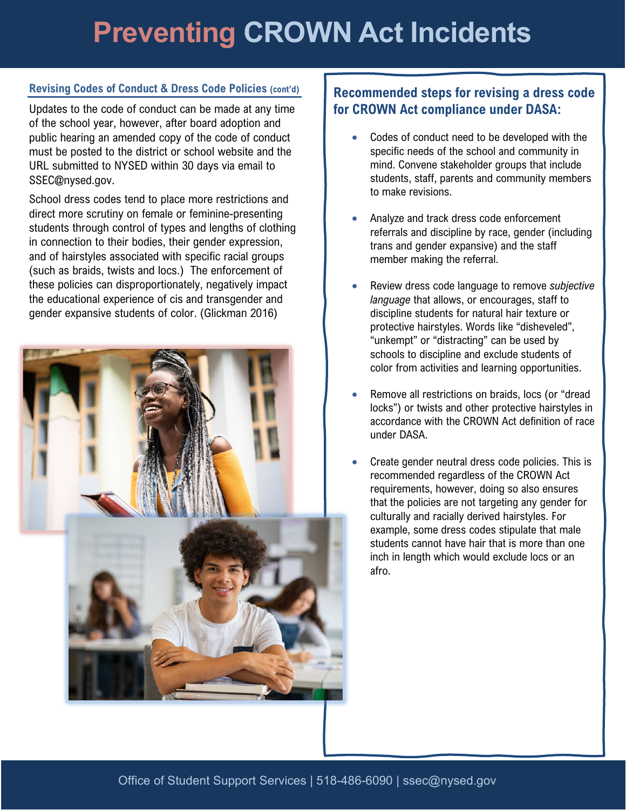# **Preventing CROWN Act Incidents**

#### **Revising Codes of Conduct & Dress Code Policies (cont'd)**

Updates to the code of conduct can be made at any time of the school year, however, after board adoption and public hearing an amended copy of the code of conduct must be posted to the district or school website and the URL submitted to NYSED within 30 days via email to [SSEC@nysed.gov](mailto:SSEC@nysed.gov).

School dress codes tend to place more restrictions and direct more scrutiny on female or feminine-presenting students through control of types and lengths of clothing in connection to their bodies, their gender expression, and of hairstyles associated with specific racial groups (such as braids, twists and locs.) The enforcement of these policies can disproportionately, negatively impact the educational experience of cis and transgender and gender expansive students of color. (Glickman 2016)



## **Recommended steps for revising a dress code for CROWN Act compliance under DASA:**

- Codes of conduct need to be developed with the specific needs of the school and community in mind. Convene stakeholder groups that include students, staff, parents and community members to make revisions.
- Analyze and track dress code enforcement referrals and discipline by race, gender (including trans and gender expansive) and the staff member making the referral.
- Review dress code language to remove *subjective language* that allows, or encourages, staff to discipline students for natural hair texture or protective hairstyles. Words like "disheveled", "unkempt" or "distracting" can be used by schools to discipline and exclude students of color from activities and learning opportunities.
- Remove all restrictions on braids, locs (or "dread locks") or twists and other protective hairstyles in accordance with the CROWN Act definition of race under DASA.
- Create gender neutral dress code policies. This is recommended regardless of the CROWN Act requirements, however, doing so also ensures that the policies are not targeting any gender for culturally and racially derived hairstyles. For example, some dress codes stipulate that male students cannot have hair that is more than one inch in length which would exclude locs or an afro.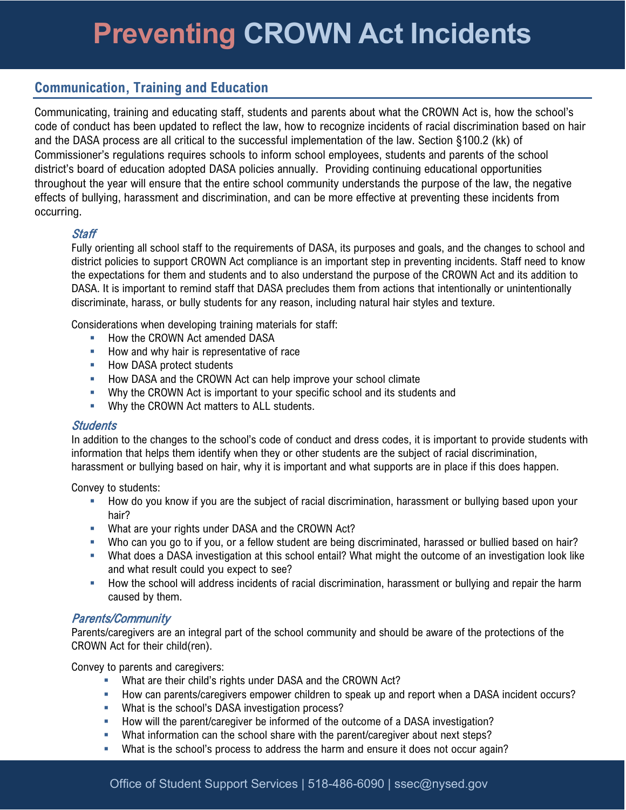# **Preventing CROWN Act Incidents**

## **Communication, Training and Education**

Communicating, training and educating staff, students and parents about what the CROWN Act is, how the school's code of conduct has been updated to reflect the law, how to recognize incidents of racial discrimination based on hair and the DASA process are all critical to the successful implementation of the law. Section §100.2 (kk) of Commissioner's regulations requires schools to inform school employees, students and parents of the school district's board of education adopted DASA policies annually. Providing continuing educational opportunities throughout the year will ensure that the entire school community understands the purpose of the law, the negative effects of bullying, harassment and discrimination, and can be more effective at preventing these incidents from occurring.

#### **Staff**

 district policies to support CROWN Act compliance is an important step in preventing incidents. Staff need to know Fully orienting all school staff to the requirements of DASA, its purposes and goals, and the changes to school and the expectations for them and students and to also understand the purpose of the CROWN Act and its addition to DASA. It is important to remind staff that DASA precludes them from actions that intentionally or unintentionally discriminate, harass, or bully students for any reason, including natural hair styles and texture.

Considerations when developing training materials for staff:

- How the CROWN Act amended DASA
- How and why hair is representative of race
- **How DASA protect students**
- **How DASA and the CROWN Act can help improve your school climate**
- Why the CROWN Act is important to your specific school and its students and
- **Why the CROWN Act matters to ALL students.**

#### **Students**

In addition to the changes to the school's code of conduct and dress codes, it is important to provide students with information that helps them identify when they or other students are the subject of racial discrimination, harassment or bullying based on hair, why it is important and what supports are in place if this does happen.

Convey to students:

- How do you know if you are the subject of racial discrimination, harassment or bullying based upon your hair?
- **What are your rights under DASA and the CROWN Act?**
- Who can you go to if you, or a fellow student are being discriminated, harassed or bullied based on hair?
- What does a DASA investigation at this school entail? What might the outcome of an investigation look like and what result could you expect to see?
- How the school will address incidents of racial discrimination, harassment or bullying and repair the harm caused by them.

#### Parents/Community

 Parents/caregivers are an integral part of the school community and should be aware of the protections of the CROWN Act for their child(ren).

Convey to parents and caregivers:

- What are their child's rights under DASA and the CROWN Act?
- How can parents/caregivers empower children to speak up and report when a DASA incident occurs?
- **What is the school's DASA investigation process?**
- How will the parent/caregiver be informed of the outcome of a DASA investigation?
- **What information can the school share with the parent/caregiver about next steps?**
- What is the school's process to address the harm and ensure it does not occur again?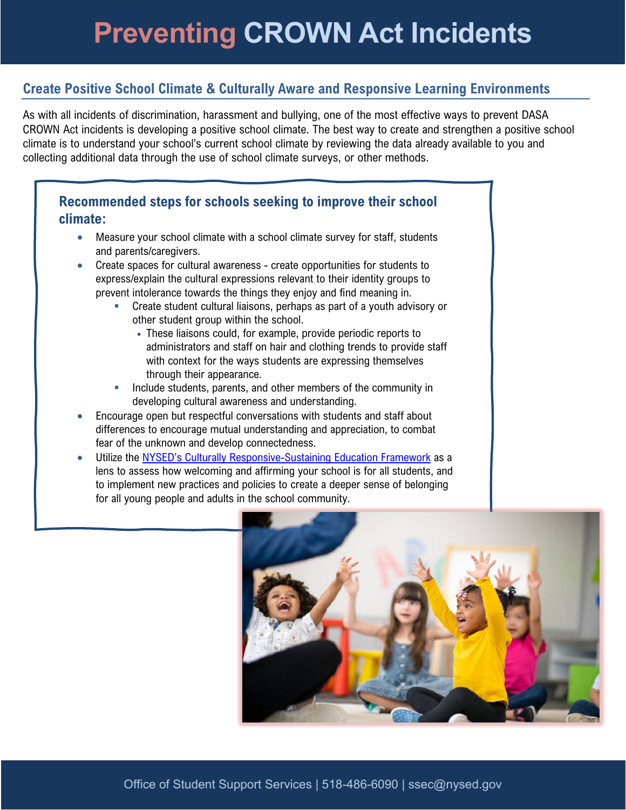# **Create Positive School Climate & Culturally Aware and Responsive Learning Environments**

As with all incidents of discrimination, harassment and bullying, one of the most effective ways to prevent DASA CROWN Act incidents is developing a positive school climate. The best way to create and strengthen a positive school climate is to understand your school's current school climate by reviewing the data already available to you and collecting additional data through the use of school climate surveys, or other methods.

## **Recommended steps for schools seeking to improve their school climate:**

- Measure your school climate with a school climate survey for staff, students and parents/caregivers.
- express/explain the cultural expressions relevant to their identity groups to • Create spaces for cultural awareness - create opportunities for students to prevent intolerance towards the things they enjoy and find meaning in.
	- Create student cultural liaisons, perhaps as part of a youth advisory or other student group within the school.
		- administrators and staff on hair and clothing trends to provide staff These liaisons could, for example, provide periodic reports to with context for the ways students are expressing themselves through their appearance.
	- Include students, parents, and other members of the community in developing cultural awareness and understanding.
- Encourage open but respectful conversations with students and staff about differences to encourage mutual understanding and appreciation, to combat fear of the unknown and develop connectedness.
- Utilize the [NYSED's Culturally Responsive-Sustaining Education Framework](http://www.nysed.gov/common/nysed/files/programs/crs/culturally-responsive-sustaining-education-framework.pdf) as a lens to assess how welcoming and affirming your school is for all students, and to implement new practices and policies to create a deeper sense of belonging for all young people and adults in the school community.